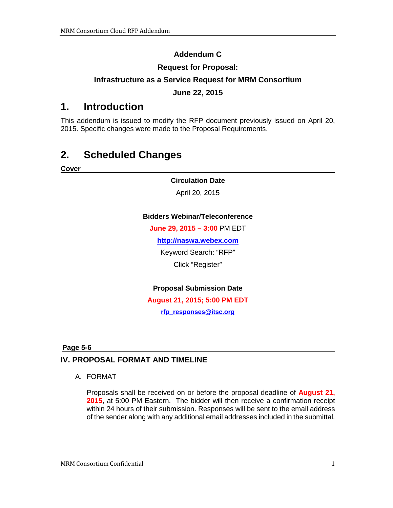# **Addendum C**

# **Request for Proposal:**

# **Infrastructure as a Service Request for MRM Consortium**

# **June 22, 2015**

# **1. Introduction**

This addendum is issued to modify the RFP document previously issued on April 20, 2015. Specific changes were made to the Proposal Requirements.

# **2. Scheduled Changes**

**Cover**

#### **Circulation Date**

April 20, 2015

## **Bidders Webinar/Teleconference**

**June 29, 2015 – 3:00** PM EDT

**[http://naswa.webex.com](http://naswa.webex.com/)**

Keyword Search: "RFP" Click "Register"

**Proposal Submission Date**

**August 21, 2015; 5:00 PM EDT**

**[rfp\\_responses@itsc.org](mailto:rfp_responses@itsc.org)**

# **Page 5-6**

# **IV. PROPOSAL FORMAT AND TIMELINE**

# A. FORMAT

Proposals shall be received on or before the proposal deadline of **August 21, 2015**, at 5:00 PM Eastern. The bidder will then receive a confirmation receipt within 24 hours of their submission. Responses will be sent to the email address of the sender along with any additional email addresses included in the submittal.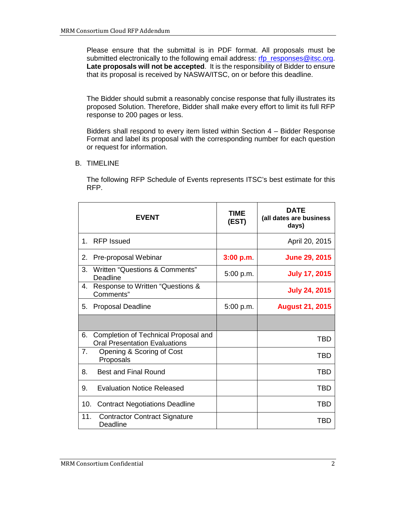Please ensure that the submittal is in PDF format. All proposals must be submitted electronically to the following email address: [rfp\\_responses@itsc.org.](mailto:rfp_responses@itsc.org) **Late proposals will not be accepted**. It is the responsibility of Bidder to ensure that its proposal is received by NASWA/ITSC, on or before this deadline.

The Bidder should submit a reasonably concise response that fully illustrates its proposed Solution. Therefore, Bidder shall make every effort to limit its full RFP response to 200 pages or less.

Bidders shall respond to every item listed within Section 4 – Bidder Response Format and label its proposal with the corresponding number for each question or request for information.

## B. TIMELINE

The following RFP Schedule of Events represents ITSC's best estimate for this RFP.

| <b>EVENT</b>                                                                       | <b>TIME</b><br>(EST) | DATF<br>(all dates are business<br>days) |
|------------------------------------------------------------------------------------|----------------------|------------------------------------------|
| 1. RFP Issued                                                                      |                      | April 20, 2015                           |
| 2.<br>Pre-proposal Webinar                                                         | 3:00 p.m.            | <b>June 29, 2015</b>                     |
| Written "Questions & Comments"<br>3.<br>Deadline                                   | 5:00 p.m.            | <b>July 17, 2015</b>                     |
| Response to Written "Questions &<br>4.<br>Comments"                                |                      | <b>July 24, 2015</b>                     |
| <b>Proposal Deadline</b><br>5.                                                     | 5:00 p.m.            | <b>August 21, 2015</b>                   |
|                                                                                    |                      |                                          |
| Completion of Technical Proposal and<br>6.<br><b>Oral Presentation Evaluations</b> |                      | TBD                                      |
| 7.<br>Opening & Scoring of Cost<br>Proposals                                       |                      | TBD                                      |
| <b>Best and Final Round</b><br>8.                                                  |                      | TBD                                      |
| <b>Evaluation Notice Released</b><br>9.                                            |                      | TBD                                      |
| 10.<br><b>Contract Negotiations Deadline</b>                                       |                      | TBD                                      |
| 11.<br><b>Contractor Contract Signature</b><br>Deadline                            |                      | TBD                                      |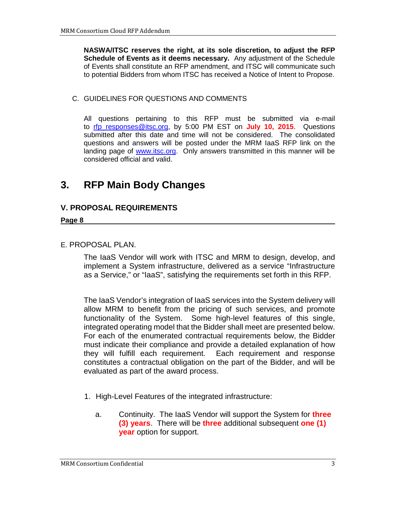**NASWA/ITSC reserves the right, at its sole discretion, to adjust the RFP Schedule of Events as it deems necessary.** Any adjustment of the Schedule of Events shall constitute an RFP amendment, and ITSC will communicate such to potential Bidders from whom ITSC has received a Notice of Intent to Propose.

# C. GUIDELINES FOR QUESTIONS AND COMMENTS

All questions pertaining to this RFP must be submitted via e-mail to [rfp\\_responses@itsc.org,](mailto:rfp_responses@itsc.org?subject=MRM%20Consortium%20Question%20RFP%20Number:%20%201401-676) by 5:00 PM EST on **July 10, 2015**. Questions submitted after this date and time will not be considered. The consolidated questions and answers will be posted under the MRM IaaS RFP link on the landing page of www.itsc.org. Only answers transmitted in this manner will be considered official and valid.

# **3. RFP Main Body Changes**

# **V. PROPOSAL REQUIREMENTS**

## **Page 8**

# E. PROPOSAL PLAN.

The IaaS Vendor will work with ITSC and MRM to design, develop, and implement a System infrastructure, delivered as a service "Infrastructure as a Service," or "IaaS", satisfying the requirements set forth in this RFP.

The IaaS Vendor's integration of IaaS services into the System delivery will allow MRM to benefit from the pricing of such services, and promote functionality of the System. Some high-level features of this single, integrated operating model that the Bidder shall meet are presented below. For each of the enumerated contractual requirements below, the Bidder must indicate their compliance and provide a detailed explanation of how they will fulfill each requirement. Each requirement and response constitutes a contractual obligation on the part of the Bidder, and will be evaluated as part of the award process.

- 1. High-Level Features of the integrated infrastructure:
	- a. Continuity. The IaaS Vendor will support the System for **three (3) years**. There will be **three** additional subsequent **one (1) year** option for support.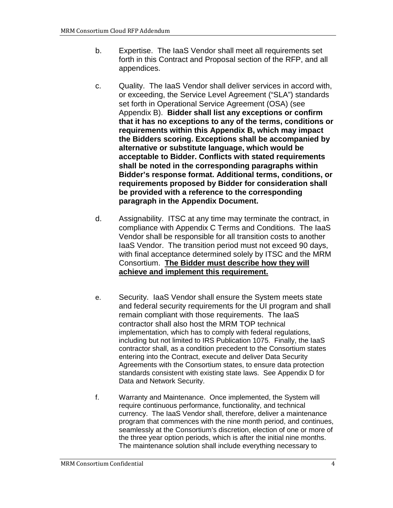- b. Expertise. The IaaS Vendor shall meet all requirements set forth in this Contract and Proposal section of the RFP, and all appendices.
- c. Quality. The IaaS Vendor shall deliver services in accord with, or exceeding, the Service Level Agreement ("SLA") standards set forth in Operational Service Agreement (OSA) (see Appendix B). **Bidder shall list any exceptions or confirm that it has no exceptions to any of the terms, conditions or requirements within this Appendix B, which may impact the Bidders scoring. Exceptions shall be accompanied by alternative or substitute language, which would be acceptable to Bidder. Conflicts with stated requirements shall be noted in the corresponding paragraphs within Bidder's response format. Additional terms, conditions, or requirements proposed by Bidder for consideration shall be provided with a reference to the corresponding paragraph in the Appendix Document.**
- d. Assignability. ITSC at any time may terminate the contract, in compliance with Appendix C Terms and Conditions. The IaaS Vendor shall be responsible for all transition costs to another IaaS Vendor. The transition period must not exceed 90 days, with final acceptance determined solely by ITSC and the MRM Consortium. **The Bidder must describe how they will achieve and implement this requirement.**
- e. Security.IaaS Vendor shall ensure the System meets state and federal security requirements for the UI program and shall remain compliant with those requirements. The IaaS contractor shall also host the MRM TOP technical implementation, which has to comply with federal regulations, including but not limited to IRS Publication 1075. Finally, the IaaS contractor shall, as a condition precedent to the Consortium states entering into the Contract, execute and deliver Data Security Agreements with the Consortium states, to ensure data protection standards consistent with existing state laws. See Appendix D for Data and Network Security.
- f. Warranty and Maintenance. Once implemented, the System will require continuous performance, functionality, and technical currency. The IaaS Vendor shall, therefore, deliver a maintenance program that commences with the nine month period, and continues, seamlessly at the Consortium's discretion, election of one or more of the three year option periods, which is after the initial nine months. The maintenance solution shall include everything necessary to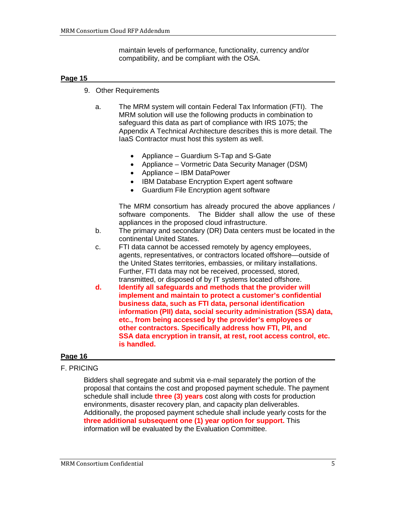maintain levels of performance, functionality, currency and/or compatibility, and be compliant with the OSA.

#### **Page 15**

- 9. Other Requirements
	- a. The MRM system will contain Federal Tax Information (FTI). The MRM solution will use the following products in combination to safeguard this data as part of compliance with IRS 1075; the Appendix A Technical Architecture describes this is more detail. The IaaS Contractor must host this system as well.
		- Appliance Guardium S-Tap and S-Gate
		- Appliance Vormetric Data Security Manager (DSM)
		- Appliance IBM DataPower
		- IBM Database Encryption Expert agent software
		- Guardium File Encryption agent software

The MRM consortium has already procured the above appliances / software components. The Bidder shall allow the use of these appliances in the proposed cloud infrastructure.

- b. The primary and secondary (DR) Data centers must be located in the continental United States.
- c. FTI data cannot be accessed remotely by agency employees, agents, representatives, or contractors located offshore—outside of the United States territories, embassies, or military installations. Further, FTI data may not be received, processed, stored, transmitted, or disposed of by IT systems located offshore.
- **d. Identify all safeguards and methods that the provider will implement and maintain to protect a customer's confidential business data, such as FTI data, personal identification information (PII) data, social security administration (SSA) data, etc., from being accessed by the provider's employees or other contractors. Specifically address how FTI, PII, and SSA data encryption in transit, at rest, root access control, etc. is handled.**

# **Page 16**

## F. PRICING

Bidders shall segregate and submit via e-mail separately the portion of the proposal that contains the cost and proposed payment schedule. The payment schedule shall include **three (3) years** cost along with costs for production environments, disaster recovery plan, and capacity plan deliverables. Additionally, the proposed payment schedule shall include yearly costs for the **three additional subsequent one (1) year option for support.** This information will be evaluated by the Evaluation Committee.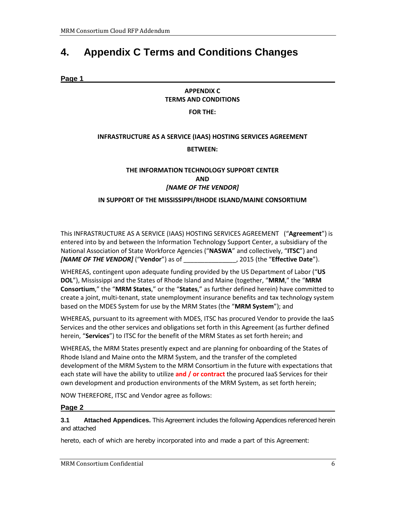# **4. Appendix C Terms and Conditions Changes**

**Page 1**

# **APPENDIX C TERMS AND CONDITIONS**

**FOR THE:**

# **INFRASTRUCTURE AS A SERVICE (IAAS) HOSTING SERVICES AGREEMENT BETWEEN:**

# **THE INFORMATION TECHNOLOGY SUPPORT CENTER AND**  *[NAME OF THE VENDOR]*

## **IN SUPPORT OF THE MISSISSIPPI/RHODE ISLAND/MAINE CONSORTIUM**

This INFRASTRUCTURE AS A SERVICE (IAAS) HOSTING SERVICES AGREEMENT ("**Agreement**") is entered into by and between the Information Technology Support Center, a subsidiary of the National Association of State Workforce Agencies ("**NASWA**" and collectively, "**ITSC**") and *[NAME OF THE VENDOR]* ("**Vendor**") as of \_\_\_\_\_\_\_\_\_\_\_\_\_\_\_, 2015 (the "**Effective Date**").

WHEREAS, contingent upon adequate funding provided by the US Department of Labor ("**US DOL**"), Mississippi and the States of Rhode Island and Maine (together, "**MRM**," the "**MRM Consortium**," the "**MRM States**," or the "**States**," as further defined herein) have committed to create a joint, multi-tenant, state unemployment insurance benefits and tax technology system based on the MDES System for use by the MRM States (the "**MRM System**"); and

WHEREAS, pursuant to its agreement with MDES, ITSC has procured Vendor to provide the IaaS Services and the other services and obligations set forth in this Agreement (as further defined herein, "**Services**") to ITSC for the benefit of the MRM States as set forth herein; and

WHEREAS, the MRM States presently expect and are planning for onboarding of the States of Rhode Island and Maine onto the MRM System, and the transfer of the completed development of the MRM System to the MRM Consortium in the future with expectations that each state will have the ability to utilize **and / or contract** the procured IaaS Services for their own development and production environments of the MRM System, as set forth herein;

NOW THEREFORE, ITSC and Vendor agree as follows:

## **Page 2**

**3.1 Attached Appendices.** This Agreement includes the following Appendices referenced herein and attached

hereto, each of which are hereby incorporated into and made a part of this Agreement: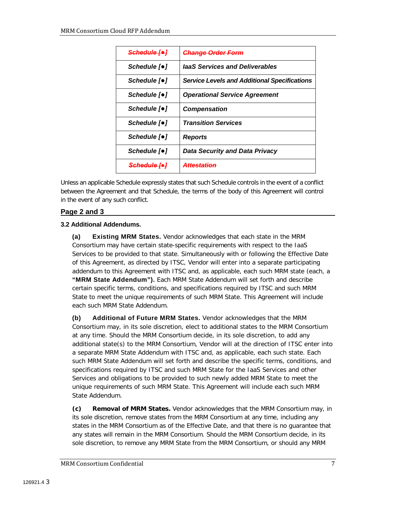| <del>Schedule [●]</del> | <b>Change Order Form</b>                            |
|-------------------------|-----------------------------------------------------|
| Schedule [•]            | laaS Services and Deliverables                      |
| Schedule [•]            | <b>Service Levels and Additional Specifications</b> |
| Schedule [•]            | <b>Operational Service Agreement</b>                |
| Schedule [•]            | <b>Compensation</b>                                 |
| Schedule [•]            | <b>Transition Services</b>                          |
| Schedule [•]            | <b>Reports</b>                                      |
| Schedule [•]            | <b>Data Security and Data Privacy</b>               |
| <del>Schedule [•]</del> |                                                     |
|                         |                                                     |

Unless an applicable Schedule expressly states that such Schedule controls in the event of a conflict between the Agreement and that Schedule, the terms of the body of this Agreement will control in the event of any such conflict.

# **Page 2 and 3**

## **3.2 Additional Addendums.**

**(a) Existing MRM States.** Vendor acknowledges that each state in the MRM Consortium may have certain state-specific requirements with respect to the IaaS Services to be provided to that state. Simultaneously with or following the Effective Date of this Agreement, as directed by ITSC, Vendor will enter into a separate participating addendum to this Agreement with ITSC and, as applicable, each such MRM state (each, a **"MRM State Addendum").** Each MRM State Addendum will set forth and describe certain specific terms, conditions, and specifications required by ITSC and such MRM State to meet the unique requirements of such MRM State. This Agreement will include each such MRM State Addendum.

**(b) Additional of Future MRM States.** Vendor acknowledges that the MRM Consortium may, in its sole discretion, elect to additional states to the MRM Consortium at any time. Should the MRM Consortium decide, in its sole discretion, to add any additional state(s) to the MRM Consortium, Vendor will at the direction of ITSC enter into a separate MRM State Addendum with ITSC and, as applicable, each such state. Each such MRM State Addendum will set forth and describe the specific terms, conditions, and specifications required by ITSC and such MRM State for the IaaS Services and other Services and obligations to be provided to such newly added MRM State to meet the unique requirements of such MRM State. This Agreement will include each such MRM State Addendum.

**(c) Removal of MRM States.** Vendor acknowledges that the MRM Consortium may, in its sole discretion, remove states from the MRM Consortium at any time, including any states in the MRM Consortium as of the Effective Date, and that there is no guarantee that any states will remain in the MRM Consortium. Should the MRM Consortium decide, in its sole discretion, to remove any MRM State from the MRM Consortium, or should any MRM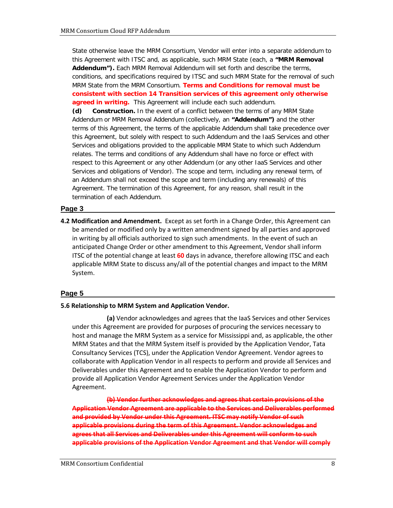State otherwise leave the MRM Consortium, Vendor will enter into a separate addendum to this Agreement with ITSC and, as applicable, such MRM State (each, a **"MRM Removal Addendum").** Each MRM Removal Addendum will set forth and describe the terms, conditions, and specifications required by ITSC and such MRM State for the removal of such MRM State from the MRM Consortium. **Terms and Conditions for removal must be consistent with section 14 Transition services of this agreement only otherwise agreed in writing.** This Agreement will include each such addendum.

**(d) Construction.** In the event of a conflict between the terms of any MRM State Addendum or MRM Removal Addendum (collectively, an **"Addendum")** and the other terms of this Agreement, the terms of the applicable Addendum shall take precedence over this Agreement, but solely with respect to such Addendum and the IaaS Services and other Services and obligations provided to the applicable MRM State to which such Addendum relates. The terms and conditions of any Addendum shall have no force or effect with respect to this Agreement or any other Addendum (or any other IaaS Services and other Services and obligations of Vendor). The scope and term, including any renewal term, of an Addendum shall not exceed the scope and term (including any renewals) of this Agreement. The termination of this Agreement, for any reason, shall result in the termination of each Addendum.

#### **Page 3**

**4.2 Modification and Amendment.** Except as set forth in a Change Order, this Agreement can be amended or modified only by a written amendment signed by all parties and approved in writing by all officials authorized to sign such amendments. In the event of such an anticipated Change Order or other amendment to this Agreement, Vendor shall inform ITSC of the potential change at least **60** days in advance, therefore allowing ITSC and each applicable MRM State to discuss any/all of the potential changes and impact to the MRM System.

#### **Page 5**

#### **5.6 Relationship to MRM System and Application Vendor.**

**(a)** Vendor acknowledges and agrees that the IaaS Services and other Services under this Agreement are provided for purposes of procuring the services necessary to host and manage the MRM System as a service for Mississippi and, as applicable, the other MRM States and that the MRM System itself is provided by the Application Vendor, Tata Consultancy Services (TCS), under the Application Vendor Agreement. Vendor agrees to collaborate with Application Vendor in all respects to perform and provide all Services and Deliverables under this Agreement and to enable the Application Vendor to perform and provide all Application Vendor Agreement Services under the Application Vendor Agreement.

**(b) Vendor further acknowledges and agrees that certain provisions of the Application Vendor Agreement are applicable to the Services and Deliverables performed and provided by Vendor under this Agreement. ITSC may notify Vendor of such applicable provisions during the term of this Agreement. Vendor acknowledges and agrees that all Services and Deliverables under this Agreement will conform to such applicable provisions of the Application Vendor Agreement and that Vendor will comply**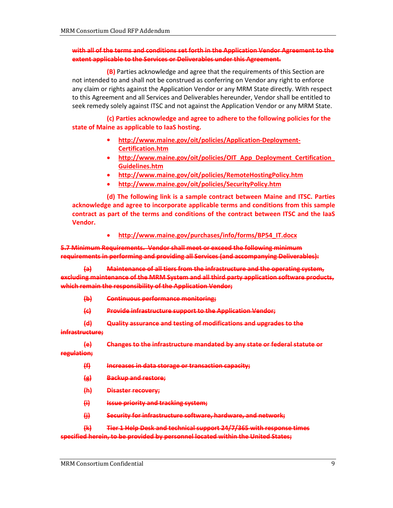#### **with all of the terms and conditions set forth in the Application Vendor Agreement to the extent applicable to the Services or Deliverables under this Agreement.**

**(B)** Parties acknowledge and agree that the requirements of this Section are not intended to and shall not be construed as conferring on Vendor any right to enforce any claim or rights against the Application Vendor or any MRM State directly. With respect to this Agreement and all Services and Deliverables hereunder, Vendor shall be entitled to seek remedy solely against ITSC and not against the Application Vendor or any MRM State.

**(c) Parties acknowledge and agree to adhere to the following policies for the state of Maine as applicable to IaaS hosting.**

- **[http://www.maine.gov/oit/policies/Application-Deployment-](http://www.maine.gov/oit/policies/Application-Deployment-Certification.htm)[Certification.htm](http://www.maine.gov/oit/policies/Application-Deployment-Certification.htm)**
- **[http://www.maine.gov/oit/policies/OIT\\_App\\_Deployment\\_Certification\\_](http://www.maine.gov/oit/policies/OIT_App_Deployment_Certification_Guidelines.htm) [Guidelines.htm](http://www.maine.gov/oit/policies/OIT_App_Deployment_Certification_Guidelines.htm)**
- **<http://www.maine.gov/oit/policies/RemoteHostingPolicy.htm>**
- **<http://www.maine.gov/oit/policies/SecurityPolicy.htm>**

**(d) The following link is a sample contract between Maine and ITSC. Parties acknowledge and agree to incorporate applicable terms and conditions from this sample contract as part of the terms and conditions of the contract between ITSC and the IaaS Vendor.**

• **[http://www.maine.gov/purchases/info/forms/BP54\\_IT.docx](http://www.maine.gov/purchases/info/forms/BP54_IT.docx)**

## **5.7 Minimum Requirements. Vendor shall meet or exceed the following minimum requirements in performing and providing all Services (and accompanying Deliverables):**

**(a) Maintenance of all tiers from the infrastructure and the operating system, excluding maintenance of the MRM System and all third party application software products, which remain the responsibility of the Application Vendor;** 

- **(b) Continuous performance monitoring;**
- **(c) Provide infrastructure support to the Application Vendor;**
- **(d) Quality assurance and testing of modifications and upgrades to the**

#### **infrastructure;**

**(e) Changes to the infrastructure mandated by any state or federal statute or** 

**regulation;**

- **(f) Increases in data storage or transaction capacity;**
- **(g) Backup and restore;**
- **(h) Disaster recovery;**
- **(i) Issue priority and tracking system;**
- **(j) Security for infrastructure software, hardware, and network;**
- **(k) Tier 1 Help Desk and technical support 24/7/365 with response times**

**specified herein, to be provided by personnel located within the United States;**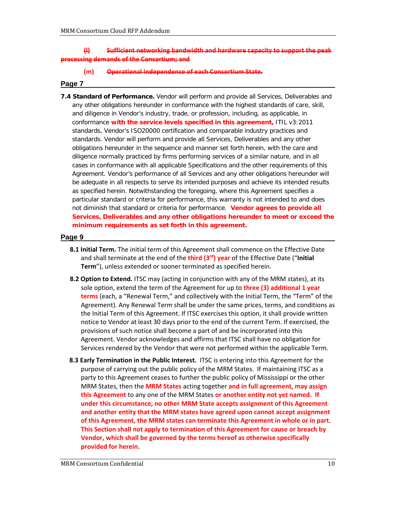## **(l) Sufficient networking bandwidth and hardware capacity to support the peak processing demands of the Consortium; and**

#### **(m) Operational independence of each Consortium State.**

- **Page 7**
- **7.4 Standard of Performance.** Vendor will perform and provide all Services, Deliverables and any other obligations hereunder in conformance with the highest standards of care, skill, and diligence in Vendor's industry, trade, or profession, including, as applicable, in conformance **with the service levels specified in this agreement,** ITIL v3:2011 standards, Vendor's ISO20000 certification and comparable industry practices and standards. Vendor will perform and provide all Services, Deliverables and any other obligations hereunder in the sequence and manner set forth herein, with the care and diligence normally practiced by firms performing services of a similar nature, and in all cases in conformance with all applicable Specifications and the other requirements of this Agreement. Vendor's performance of all Services and any other obligations hereunder will be adequate in all respects to serve its intended purposes and achieve its intended results as specified herein. Notwithstanding the foregoing, where this Agreement specifies a particular standard or criteria for performance, this warranty is not intended to and does not diminish that standard or criteria for performance. **Vendor agrees to provide all Services, Deliverables and any other obligations hereunder to meet or exceed the minimum requirements as set forth in this agreement.**

#### **Page 9**

- **8.1 Initial Term.** The initial term of this Agreement shall commence on the Effective Date and shall terminate at the end of the **third (3rd) year** of the Effective Date ("**Initial Term**"), unless extended or sooner terminated as specified herein.
- **8.2 Option to Extend.** ITSC may (acting in conjunction with any of the MRM states), at its sole option, extend the term of the Agreement for up to **three (3) additional 1 year terms** (each, a "Renewal Term," and collectively with the Initial Term, the "Term" of the Agreement). Any Renewal Term shall be under the same prices, terms, and conditions as the Initial Term of this Agreement. If ITSC exercises this option, it shall provide written notice to Vendor at least 30 days prior to the end of the current Term. If exercised, the provisions of such notice shall become a part of and be incorporated into this Agreement. Vendor acknowledges and affirms that ITSC shall have no obligation for Services rendered by the Vendor that were not performed within the applicable Term.
- **8.3 Early Termination in the Public Interest.** ITSC is entering into this Agreement for the purpose of carrying out the public policy of the MRM States. If maintaining ITSC as a party to this Agreement ceases to further the public policy of Mississippi or the other MRM States, then the **MRM States** acting together **and in full agreement, may assign this Agreement** to any one of the MRM States **or another entity not yet named. If under this circumstance, no other MRM State accepts assignment of this Agreement and another entity that the MRM states have agreed upon cannot accept assignment of this Agreement, the MRM states can terminate this Agreement in whole or in part. This Section shall not apply to termination of this Agreement for cause or breach by Vendor, which shall be governed by the terms hereof as otherwise specifically provided for herein.**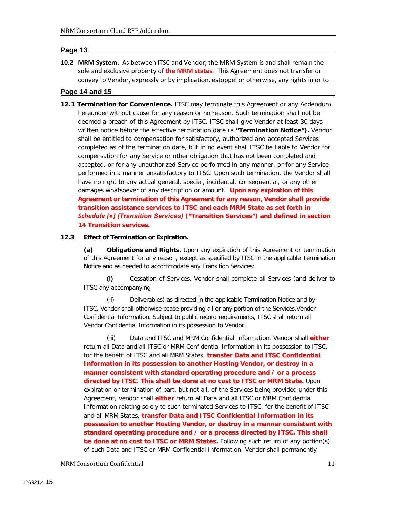#### **Page 13**

**10.2 MRM System.** As between ITSC and Vendor, the MRM System is and shall remain the sole and exclusive property of **the MRM states**. This Agreement does not transfer or convey to Vendor, expressly or by implication, estoppel or otherwise, any rights in or to

#### **Page 14 and 15**

**12.1 Termination for Convenience.** ITSC may terminate this Agreement or any Addendum hereunder without cause for any reason or no reason. Such termination shall not be deemed a breach of this Agreement by ITSC. ITSC shall give Vendor at least 30 days written notice before the effective termination date (a **"Termination Notice").** Vendor shall be entitled to compensation for satisfactory, authorized and accepted Services completed as of the termination date, but in no event shall ITSC be liable to Vendor for compensation for any Service or other obligation that has not been completed and accepted, or for any unauthorized Service performed in any manner, or for any Service performed in a manner unsatisfactory to ITSC. Upon such termination, the Vendor shall have no right to any actual general, special, incidental, consequential, or any other damages whatsoever of any description or amount. **Upon any expiration of this Agreement or termination of this Agreement for any reason, Vendor shall provide transition assistance services to ITSC and each MRM State as set forth in**  *Schedule [●] (Transition Services)* **("Transition Services") and defined in section 14 Transition services.**

#### **12.3 Effect of Termination or Expiration.**

**(a) Obligations and Rights.** Upon any expiration of this Agreement or termination of this Agreement for any reason, except as specified by ITSC in the applicable Termination Notice and as needed to accommodate any Transition Services:

**(i)** Cessation of Services. Vendor shall complete all Services (and deliver to ITSC any accompanying

(ii) Deliverables) as directed in the applicable Termination Notice and by ITSC. Vendor shall otherwise cease providing all or any portion of the Services.Vendor Confidential Information. Subject to public record requirements, ITSC shall return all Vendor Confidential Information in its possession to Vendor.

(iii) Data and ITSC and MRM Confidential Information. Vendor shall **either** return all Data and all ITSC or MRM Confidential Information in its possession to ITSC, for the benefit of ITSC and all MRM States, **transfer Data and ITSC Confidential Information in its possession to another Hosting Vendor, or destroy in a manner consistent with standard operating procedure and / or a process directed by ITSC. This shall be done at no cost to ITSC or MRM State.** Upon expiration or termination of part, but not all, of the Services being provided under this Agreement, Vendor shall **either** return all Data and all ITSC or MRM Confidential Information relating solely to such terminated Services to ITSC, for the benefit of ITSC and all MRM States, **transfer Data and ITSC Confidential Information in its possession to another Hosting Vendor, or destroy in a manner consistent with standard operating procedure and / or a process directed by ITSC. This shall be done at no cost to ITSC or MRM States.** Following such return of any portion(s) of such Data and ITSC or MRM Confidential Information, Vendor shall permanently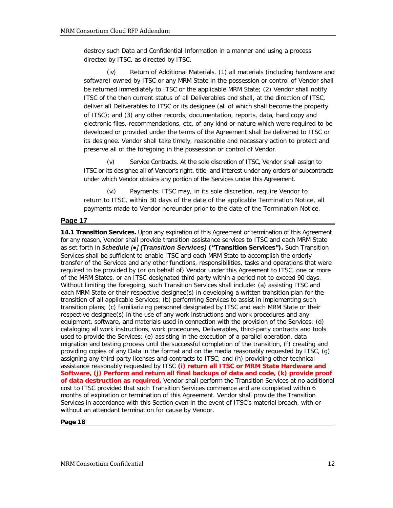destroy such Data and Confidential Information in a manner and using a process directed by ITSC, as directed by ITSC.

(iv) Return of Additional Materials. (1) all materials (including hardware and software) owned by ITSC or any MRM State in the possession or control of Vendor shall be returned immediately to ITSC or the applicable MRM State; (2) Vendor shall notify ITSC of the then current status of all Deliverables and shall, at the direction of ITSC, deliver all Deliverables to ITSC or its designee (all of which shall become the property of ITSC); and (3) any other records, documentation, reports, data, hard copy and electronic files, recommendations, etc. of any kind or nature which were required to be developed or provided under the terms of the Agreement shall be delivered to ITSC or its designee. Vendor shall take timely, reasonable and necessary action to protect and preserve all of the foregoing in the possession or control of Vendor.

(v) Service Contracts. At the sole discretion of ITSC, Vendor shall assign to ITSC or its designee all of Vendor's right, title, and interest under any orders or subcontracts under which Vendor obtains any portion of the Services under this Agreement.

(vi) Payments. ITSC may, in its sole discretion, require Vendor to return to ITSC, within 30 days of the date of the applicable Termination Notice, all payments made to Vendor hereunder prior to the date of the Termination Notice.

## **Page 17**

**14.1 Transition Services.** Upon any expiration of this Agreement or termination of this Agreement for any reason, Vendor shall provide transition assistance services to ITSC and each MRM State as set forth in *Schedule [●] (Transition Services)* **("Transition Services").** Such Transition Services shall be sufficient to enable ITSC and each MRM State to accomplish the orderly transfer of the Services and any other functions, responsibilities, tasks and operations that were required to be provided by (or on behalf of) Vendor under this Agreement to ITSC, one or more of the MRM States, or an ITSC-designated third party within a period not to exceed 90 days. Without limiting the foregoing, such Transition Services shall include: (a) assisting ITSC and each MRM State or their respective designee(s) in developing a written transition plan for the transition of all applicable Services; (b) performing Services to assist in implementing such transition plans; (c) familiarizing personnel designated by ITSC and each MRM State or their respective designee(s) in the use of any work instructions and work procedures and any equipment, software, and materials used in connection with the provision of the Services; (d) cataloging all work instructions, work procedures, Deliverables, third-party contracts and tools used to provide the Services; (e) assisting in the execution of a parallel operation, data migration and testing process until the successful completion of the transition, (f) creating and providing copies of any Data in the format and on the media reasonably requested by ITSC, (g) assigning any third-party licenses and contracts to ITSC; and (h) providing other technical assistance reasonably requested by ITSC **(i) return all ITSC or MRM State Hardware and Software, (j) Perform and return all final backups of data and code, (k) provide proof of data destruction as required.** Vendor shall perform the Transition Services at no additional cost to ITSC provided that such Transition Services commence and are completed within 6 months of expiration or termination of this Agreement. Vendor shall provide the Transition Services in accordance with this Section even in the event of ITSC's material breach, with or without an attendant termination for cause by Vendor.

#### **Page 18**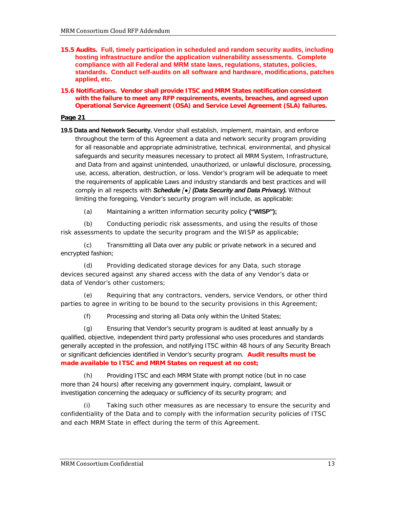- **15.5 Audits. Full, timely participation in scheduled and random security audits, including hosting infrastructure and/or the application vulnerability assessments. Complete compliance with all Federal and MRM state laws, regulations, statutes, policies, standards. Conduct self-audits on all software and hardware, modifications, patches applied, etc.**
- **15.6 Notifications. Vendor shall provide ITSC and MRM States notification consistent with the failure to meet any RFP requirements, events, breaches, and agreed upon Operational Service Agreement (OSA) and Service Level Agreement (SLA) failures.**

**Page 21**

**19.5 Data and Network Security.** Vendor shall establish, implement, maintain, and enforce throughout the term of this Agreement a data and network security program providing for all reasonable and appropriate administrative, technical, environmental, and physical safeguards and security measures necessary to protect all MRM System, Infrastructure, and Data from and against unintended, unauthorized, or unlawful disclosure, processing, use, access, alteration, destruction, or loss. Vendor's program will be adequate to meet the requirements of applicable Laws and industry standards and best practices and will comply in all respects with *Schedule [●] (Data Security and Data Privacy).* Without limiting the foregoing, Vendor's security program will include, as applicable:

(a) Maintaining a written information security policy **("WISP");**

(b) Conducting periodic risk assessments, and using the results of those risk assessments to update the security program and the WISP as applicable;

(c) Transmitting all Data over any public or private network in a secured and encrypted fashion;

(d) Providing dedicated storage devices for any Data, such storage devices secured against any shared access with the data of any Vendor's data or data of Vendor's other customers;

(e) Requiring that any contractors, venders, service Vendors, or other third parties to agree in writing to be bound to the security provisions in this Agreement;

(f) Processing and storing all Data only within the United States;

(g) Ensuring that Vendor's security program is audited at least annually by a qualified, objective, independent third party professional who uses procedures and standards generally accepted in the profession, and notifying ITSC within 48 hours of any Security Breach or significant deficiencies identified in Vendor's security program. **Audit results must be made available to ITSC and MRM States on request at no cost;**

(h) Providing ITSC and each MRM State with prompt notice (but in no case more than 24 hours) after receiving any government inquiry, complaint, lawsuit or investigation concerning the adequacy or sufficiency of its security program; and

(i) Taking such other measures as are necessary to ensure the security and confidentiality of the Data and to comply with the information security policies of ITSC and each MRM State in effect during the term of this Agreement.